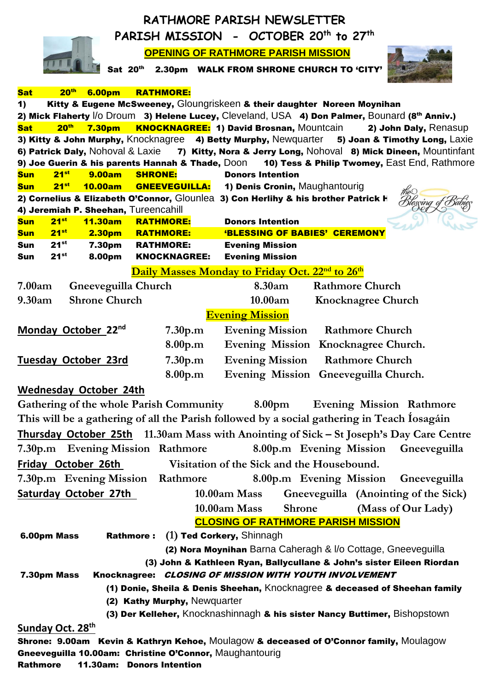|                                                                                                                                                   | RATHMORE PARISH NEWSLETTER                                                                                                                                        |  |  |  |  |  |
|---------------------------------------------------------------------------------------------------------------------------------------------------|-------------------------------------------------------------------------------------------------------------------------------------------------------------------|--|--|--|--|--|
| PARISH MISSION - OCTOBER 20 <sup>th</sup> to 27 <sup>th</sup>                                                                                     |                                                                                                                                                                   |  |  |  |  |  |
| <b>OPENING OF RATHMORE PARISH MISSION</b>                                                                                                         |                                                                                                                                                                   |  |  |  |  |  |
| Sat 20th                                                                                                                                          | 2.30pm WALK FROM SHRONE CHURCH TO 'CITY'                                                                                                                          |  |  |  |  |  |
|                                                                                                                                                   |                                                                                                                                                                   |  |  |  |  |  |
| 20 <sup>th</sup><br><b>RATHMORE:</b><br><b>6.00pm</b><br><b>Sat</b><br>$\mathbf{1}$                                                               | Kitty & Eugene McSweeney, Gloungriskeen & their daughter Noreen Moynihan                                                                                          |  |  |  |  |  |
|                                                                                                                                                   | 2) Mick Flaherty I/o Droum 3) Helene Lucey, Cleveland, USA 4) Don Palmer, Bounard (8th Anniv.)                                                                    |  |  |  |  |  |
| 20 <sup>th</sup><br><b>7.30pm</b><br><b>Sat</b>                                                                                                   | <b>KNOCKNAGREE: 1) David Brosnan, Mountcain</b><br>2) John Daly, Renasup                                                                                          |  |  |  |  |  |
|                                                                                                                                                   | 3) Kitty & John Murphy, Knocknagree 4) Betty Murphy, Newquarter 5) Joan & Timothy Long, Laxie                                                                     |  |  |  |  |  |
| 6) Patrick Daly, Nohoval & Laxie                                                                                                                  | 7) Kitty, Nora & Jerry Long, Nohoval 8) Mick Dineen, Mountinfant<br>9) Joe Guerin & his parents Hannah & Thade, Doon 10) Tess & Philip Twomey, East End, Rathmore |  |  |  |  |  |
| $21^{st}$<br><b>9.00am</b><br><b>SHRONE:</b><br><b>Sun</b>                                                                                        | <b>Donors Intention</b>                                                                                                                                           |  |  |  |  |  |
| GNEEVEGUILLA:<br>$21^{st}$<br><b>10.00am</b><br><b>Sun</b>                                                                                        | 1) Denis Cronin, Maughantourig                                                                                                                                    |  |  |  |  |  |
| 2) Cornelius & Elizabeth O'Connor, Glounlea 3) Con Herlihy & his brother Patrick H                                                                | tesçing o                                                                                                                                                         |  |  |  |  |  |
| 4) Jeremiah P. Sheehan, Tureencahill<br>$21^{st}$<br><b>RATHMORE:</b>                                                                             | <b>Donors Intention</b>                                                                                                                                           |  |  |  |  |  |
| <b>Sun</b><br>11.30am<br>$21^{st}$<br><b>RATHMORE:</b><br><b>2.30pm</b><br><b>Sun</b>                                                             | 'BLESSING OF BABIES' CEREMONY                                                                                                                                     |  |  |  |  |  |
| $21^{st}$<br>7.30pm<br><b>RATHMORE:</b><br>Sun                                                                                                    | <b>Evening Mission</b>                                                                                                                                            |  |  |  |  |  |
| $21^{st}$<br>8.00pm<br><b>KNOCKNAGREE:</b><br>Sun                                                                                                 | <b>Evening Mission</b>                                                                                                                                            |  |  |  |  |  |
|                                                                                                                                                   | Daily Masses Monday to Friday Oct. 22 <sup>nd</sup> to 26 <sup>th</sup>                                                                                           |  |  |  |  |  |
| 7.00am<br>Gneeveguilla Church                                                                                                                     | 8.30am<br><b>Rathmore Church</b>                                                                                                                                  |  |  |  |  |  |
| <b>Shrone Church</b><br>9.30am                                                                                                                    | 10.00am<br><b>Knocknagree Church</b>                                                                                                                              |  |  |  |  |  |
|                                                                                                                                                   | <b>Evening Mission</b>                                                                                                                                            |  |  |  |  |  |
| Monday October 22nd<br>7.30 <sub>p,m</sub>                                                                                                        | <b>Rathmore Church</b><br><b>Evening Mission</b>                                                                                                                  |  |  |  |  |  |
| 8.00p.m                                                                                                                                           | Evening Mission Knocknagree Church.                                                                                                                               |  |  |  |  |  |
| <b>Tuesday October 23rd</b><br>7.30 <sub>p,m</sub>                                                                                                | <b>Rathmore Church</b><br><b>Evening Mission</b>                                                                                                                  |  |  |  |  |  |
| 8.00p.m                                                                                                                                           | <b>Evening Mission</b><br>Gneeveguilla Church.                                                                                                                    |  |  |  |  |  |
| <b>Wednesday October 24th</b>                                                                                                                     |                                                                                                                                                                   |  |  |  |  |  |
|                                                                                                                                                   | Gathering of the whole Parish Community 8.00pm Evening Mission Rathmore                                                                                           |  |  |  |  |  |
|                                                                                                                                                   | This will be a gathering of all the Parish followed by a social gathering in Teach Iosagáin                                                                       |  |  |  |  |  |
|                                                                                                                                                   | Thursday October 25th 11.30am Mass with Anointing of Sick - St Joseph's Day Care Centre                                                                           |  |  |  |  |  |
| 8.00p.m Evening Mission Gneeveguilla<br>7.30p.m Evening Mission Rathmore                                                                          |                                                                                                                                                                   |  |  |  |  |  |
| Friday October 26th Visitation of the Sick and the Housebound.                                                                                    |                                                                                                                                                                   |  |  |  |  |  |
| 7.30p.m Evening Mission Rathmore                                                                                                                  | 8.00p.m Evening Mission Gneeveguilla                                                                                                                              |  |  |  |  |  |
| <b>Saturday October 27th</b>                                                                                                                      | 10.00am Mass<br>Gneeveguilla (Anointing of the Sick)                                                                                                              |  |  |  |  |  |
|                                                                                                                                                   | Shrone (Mass of Our Lady)<br><b>10.00am Mass</b>                                                                                                                  |  |  |  |  |  |
|                                                                                                                                                   | <b>CLOSING OF RATHMORE PARISH MISSION</b>                                                                                                                         |  |  |  |  |  |
| Rathmore: (1) Ted Corkery, Shinnagh<br>6.00pm Mass                                                                                                |                                                                                                                                                                   |  |  |  |  |  |
|                                                                                                                                                   | (2) Nora Moynihan Barna Caheragh & I/o Cottage, Gneeveguilla                                                                                                      |  |  |  |  |  |
| (3) John & Kathleen Ryan, Ballycullane & John's sister Eileen Riordan                                                                             |                                                                                                                                                                   |  |  |  |  |  |
| 7.30pm Mass                                                                                                                                       | Knocknagree: CLOSING OF MISSION WITH YOUTH INVOLVEMENT                                                                                                            |  |  |  |  |  |
| (1) Donie, Sheila & Denis Sheehan, Knocknagree & deceased of Sheehan family                                                                       |                                                                                                                                                                   |  |  |  |  |  |
| (2) Kathy Murphy, Newquarter                                                                                                                      |                                                                                                                                                                   |  |  |  |  |  |
|                                                                                                                                                   | (3) Der Kelleher, Knocknashinnagh & his sister Nancy Buttimer, Bishopstown                                                                                        |  |  |  |  |  |
| Sunday Oct. 28 <sup>th</sup>                                                                                                                      |                                                                                                                                                                   |  |  |  |  |  |
| Shrone: 9.00am Kevin & Kathryn Kehoe, Moulagow & deceased of O'Connor family, Moulagow<br>Gneeveguilla 10.00am: Christine O'Connor, Maughantourig |                                                                                                                                                                   |  |  |  |  |  |
| Rathmore<br>11.30am: Donors Intention                                                                                                             |                                                                                                                                                                   |  |  |  |  |  |